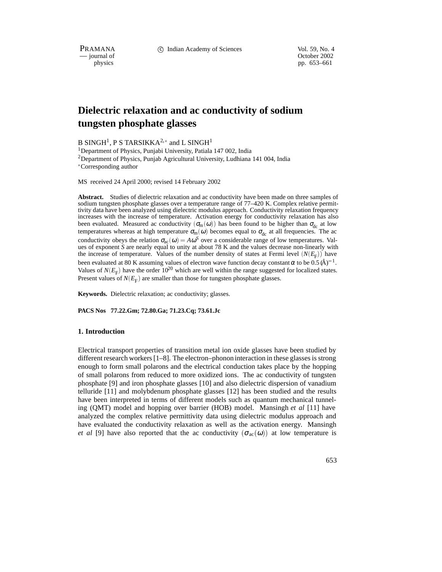PRAMANA 
compared in the C Indian Academy of Sciences Vol. 59, No. 4<br>
compared to the Corollation Corollary of Sciences Vol. 59, No. 4

physics<br>
physics<br>
pp. 653–661 pp. 653–661

# **Dielectric relaxation and ac conductivity of sodium tungsten phosphate glasses**

B SINGH $^1$ , P S TARSIKKA $^{2,*}$  and L SINGH $^1$ 

<sup>1</sup>Department of Physics, Punjabi University, Patiala 147 002, India <sup>2</sup>Department of Physics, Punjab Agricultural University, Ludhiana 141 004, India Corresponding author

MS received 24 April 2000; revised 14 February 2002

**Abstract.** Studies of dielectric relaxation and ac conductivity have been made on three samples of sodium tungsten phosphate glasses over a temperature range of 77–420 K. Complex relative permittivity data have been analyzed using dielectric modulus approach. Conductivity relaxation frequency increases with the increase of temperature. Activation energy for conductivity relaxation has also been evaluated. Measured ac conductivity  $(\sigma_m(\omega))$  has been found to be higher than  $\sigma_{dc}$  at low temperatures whereas at high temperature  $\sigma_{m}(\omega)$  becomes equal to  $\sigma_{dc}$  at all frequencies. The ac conductivity obeys the relation  $\sigma_{ac}(\omega) = A\omega^S$  over a considerable range of low temperatures. Values of exponent *S* are nearly equal to unity at about 78 K and the values decrease non-linearly with the increase of temperature. Values of the number density of states at Fermi level  $(N(E_F))$  have been evaluated at 80 K assuming values of electron wave function decay constant  $\alpha$  to be 0.5 (Å)<sup>-1</sup>. Values of  $N(E_F)$  have the order  $10^{20}$  which are well within the range suggested for localized states. Present values of  $N(E_F)$  are smaller than those for tungsten phosphate glasses.

**Keywords.** Dielectric relaxation; ac conductivity; glasses.

**PACS Nos 77.22.Gm; 72.80.Ga; 71.23.Cq; 73.61.Jc**

#### **1. Introduction**

Electrical transport properties of transition metal ion oxide glasses have been studied by different research workers [1–8]. The electron–phonon interaction in these glasses is strong enough to form small polarons and the electrical conduction takes place by the hopping of small polarons from reduced to more oxidized ions. The ac conductivity of tungsten phosphate [9] and iron phosphate glasses [10] and also dielectric dispersion of vanadium telluride [11] and molybdenum phosphate glasses [12] has been studied and the results have been interpreted in terms of different models such as quantum mechanical tunneling (QMT) model and hopping over barrier (HOB) model. Mansingh *et al* [11] have analyzed the complex relative permittivity data using dielectric modulus approach and have evaluated the conductivity relaxation as well as the activation energy. Mansingh *et al* [9] have also reported that the ac conductivity  $(\sigma_{ac}(\omega))$  at low temperature is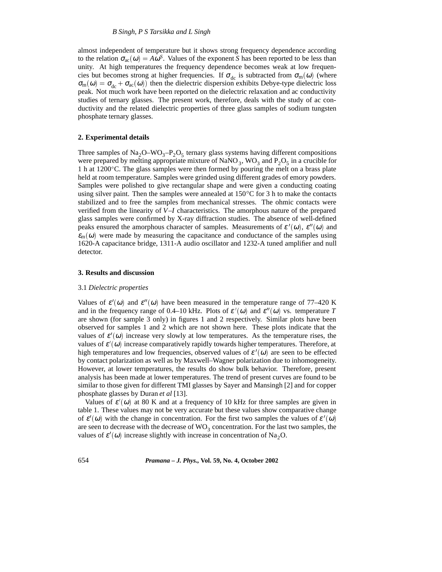almost independent of temperature but it shows strong frequency dependence according to the relation  $\sigma_{ac}(\omega) = A\omega^S$ . Values of the exponent *S* has been reported to be less than unity. At high temperatures the frequency dependence becomes weak at low frequencies but becomes strong at higher frequencies. If  $\sigma_{dc}$  is subtracted from  $\sigma_{m}(\omega)$  (where  $\sigma_m(\omega) = \sigma_{dc} + \sigma_{ac}(\omega)$ ) then the dielectric dispersion exhibits Debye-type dielectric loss peak. Not much work have been reported on the dielectric relaxation and ac conductivity studies of ternary glasses. The present work, therefore, deals with the study of ac conductivity and the related dielectric properties of three glass samples of sodium tungsten phosphate ternary glasses.

## **2. Experimental details**

Three samples of  $\text{Na}_2\text{O}-\text{WO}_3-\text{P}_2\text{O}_5$  ternary glass systems having different compositions were prepared by melting appropriate mixture of NaNO<sub>3</sub>, WO<sub>3</sub> and P<sub>2</sub>O<sub>5</sub> in a crucible for 1 h at 1200 C. The glass samples were then formed by pouring the melt on a brass plate held at room temperature. Samples were grinded using different grades of emory powders. Samples were polished to give rectangular shape and were given a conducting coating using silver paint. Then the samples were annealed at  $150^{\circ}$ C for 3 h to make the contacts stabilized and to free the samples from mechanical stresses. The ohmic contacts were verified from the linearity of *V*–*I* characteristics. The amorphous nature of the prepared glass samples were confirmed by X-ray diffraction studies. The absence of well-defined peaks ensured the amorphous character of samples. Measurements of  $\varepsilon'(\omega)$ ,  $\varepsilon''(\omega)$  and  $\varepsilon_m(\omega)$  were made by measuring the capacitance and conductance of the samples using 1620-A capacitance bridge, 1311-A audio oscillator and 1232-A tuned amplifier and null detector.

## **3. Results and discussion**

#### 3.1 *Dielectric properties*

Values of  $\varepsilon'(\omega)$  and  $\varepsilon''(\omega)$  have been measured in the temperature range of 77–420 K and in the frequency range of 0.4–10 kHz. Plots of  $\varepsilon'(\omega)$  and  $\varepsilon''(\omega)$  vs. temperature *T* are shown (for sample 3 only) in figures 1 and 2 respectively. Similar plots have been observed for samples 1 and 2 which are not shown here. These plots indicate that the values of  $\varepsilon'(\omega)$  increase very slowly at low temperatures. As the temperature rises, the values of  $\varepsilon'(\omega)$  increase comparatively rapidly towards higher temperatures. Therefore, at high temperatures and low frequencies, observed values of  $\varepsilon'(\omega)$  are seen to be effected by contact polarization as well as by Maxwell–Wagner polarization due to inhomogeneity. However, at lower temperatures, the results do show bulk behavior. Therefore, present analysis has been made at lower temperatures. The trend of present curves are found to be similar to those given for different TMI glasses by Sayer and Mansingh [2] and for copper phosphate glasses by Duran *et al* [13].

Values of  $\varepsilon'(\omega)$  at 80 K and at a frequency of 10 kHz for three samples are given in table 1. These values may not be very accurate but these values show comparative change of  $\varepsilon'(\omega)$  with the change in concentration. For the first two samples the values of  $\varepsilon'(\omega)$ are seen to decrease with the decrease of  $WO_3$  concentration. For the last two samples, the values of  $\varepsilon'(\omega)$  increase slightly with increase in concentration of Na<sub>2</sub>O.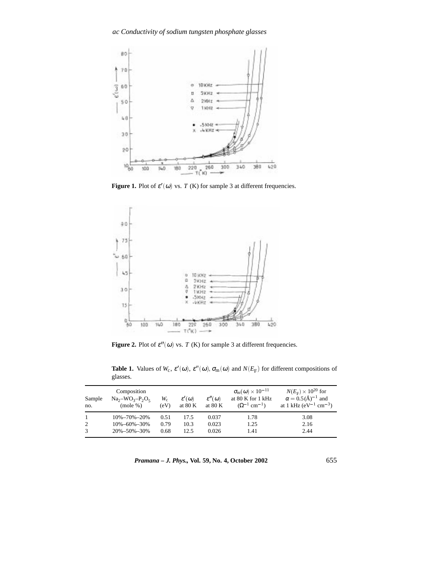

**Figure 1.** Plot of  $\varepsilon'(\omega)$  vs. *T* (K) for sample 3 at different frequencies.



**Figure 2.** Plot of  $\varepsilon''(\omega)$  vs. *T* (K) for sample 3 at different frequencies.

**Table 1.** Values of  $W_c$ ,  $\varepsilon'(\omega)$ ,  $\varepsilon''(\omega)$ ,  $\sigma_m(\omega)$  and  $N(E_F)$  for different compositions of glasses.

| Sample<br>no.  | Composition<br>$Na2-WO3-P2O5$<br>(mole %) | $W_{\rm c}$<br>(eV) | $\varepsilon'(\omega)$<br>at 80 K | $\varepsilon''(\omega)$<br>at $80 K$ | $\sigma_{\rm m}(\omega) \times 10^{-11}$<br>at 80 K for 1 kHz<br>$(\Omega^{-1}$ cm <sup>-1</sup> ) | $N(E_{\rm F}) \times 10^{20}$ for<br>$\alpha = 0.5 (\text{\AA})^{-1}$ and<br>at 1 kHz ( $eV^{-1}$ cm <sup>-3</sup> ) |
|----------------|-------------------------------------------|---------------------|-----------------------------------|--------------------------------------|----------------------------------------------------------------------------------------------------|----------------------------------------------------------------------------------------------------------------------|
| $\overline{1}$ | 10%-70%-20%                               | 0.51                | 17.5                              | 0.037                                | 1.78                                                                                               | 3.08                                                                                                                 |
| 2              | $10\% - 60\% - 30\%$                      | 0.79                | 10.3                              | 0.023                                | 1.25                                                                                               | 2.16                                                                                                                 |
| 3              | 20%-50%-30%                               | 0.68                | 12.5                              | 0.026                                | 1.41                                                                                               | 2.44                                                                                                                 |

*Pramana – J. Phys.,* **Vol. 59, No. 4, October 2002** 655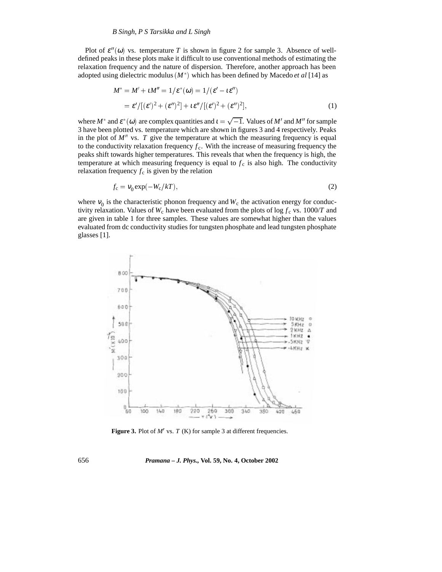Plot of  $\varepsilon''(\omega)$  vs. temperature *T* is shown in figure 2 for sample 3. Absence of welldefined peaks in these plots make it difficult to use conventional methods of estimating the relaxation frequency and the nature of dispersion. Therefore, another approach has been adopted using dielectric modulus  $(M^*)$  which has been defined by Macedo *et al* [14] as

$$
M^* = M' + \iota M'' = 1/\varepsilon^*(\omega) = 1/(\varepsilon' - \iota \varepsilon'')
$$
  
=  $\varepsilon'/[(\varepsilon')^2 + (\varepsilon'')^2] + \iota \varepsilon''/[(\varepsilon')^2 + (\varepsilon'')^2],$  (1)

where  $M^*$  and  $\varepsilon^*(\omega)$  are complex quantities and  $t = \sqrt{-1}$ . Values of M' and M'' for sample 3 have been plotted vs. temperature which are shown in figures 3 and 4 respectively. Peaks in the plot of  $M''$  vs.  $T$  give the temperature at which the measuring frequency is equal to the conductivity relaxation frequency  $f_c$ . With the increase of measuring frequency the peaks shift towards higher temperatures. This reveals that when the frequency is high, the temperature at which measuring frequency is equal to  $f_c$  is also high. The conductivity relaxation frequency  $f_c$  is given by the relation

$$
f_{\rm c} = v_0 \exp(-W_{\rm c}/kT),\tag{2}
$$

where  $v_0$  is the characteristic phonon frequency and  $W_c$  the activation energy for conductivity relaxation. Values of  $W_c$  have been evaluated from the plots of log  $f_c$  vs. 1000/*T* and are given in table 1 for three samples. These values are somewhat higher than the values evaluated from dc conductivity studies for tungsten phosphate and lead tungsten phosphate glasses [1].



**Figure 3.** Plot of  $M'$  vs.  $T(K)$  for sample 3 at different frequencies.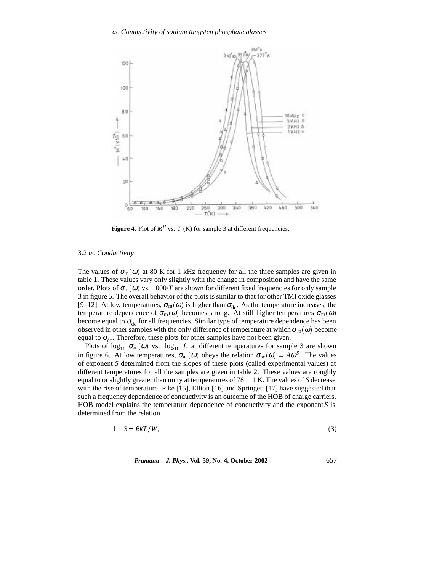

**Figure 4.** Plot of  $M''$  vs. *T* (K) for sample 3 at different frequencies.

## 3.2 *ac Conductivity*

The values of  $\sigma_m(\omega)$  at 80 K for 1 kHz frequency for all the three samples are given in table 1. These values vary only slightly with the change in composition and have the same order. Plots of  $\sigma_m(\omega)$  vs. 1000/*T* are shown for different fixed frequencies for only sample 3 in figure 5. The overall behavior of the plots is similar to that for other TMI oxide glasses [9–12]. At low temperatures,  $\sigma_m(\omega)$  is higher than  $\sigma_{dc}$ . As the temperature increases, the temperature dependence of  $\sigma_m(\omega)$  becomes strong. At still higher temperatures  $\sigma_m(\omega)$ become equal to  $\sigma_{dc}$  for all frequencies. Similar type of temperature dependence has been observed in other samples with the only difference of temperature at which  $\sigma_m(\omega)$  become equal to  $\sigma_{\text{dc}}$ . Therefore, these plots for other samples have not been given.

Plots of  $\log_{10} \sigma_{ac}(\omega)$  vs.  $\log_{10} f_c$  at different temperatures for sample 3 are shown in figure 6. At low temperatures,  $\sigma_{ac}(\omega)$  obeys the relation  $\sigma_{ac}(\omega) = A\omega^S$ . The values of exponent *S* determined from the slopes of these plots (called experimental values) at different temperatures for all the samples are given in table 2. These values are roughly equal to or slightly greater than unity at temperatures of  $78 \pm 1$  K. The values of *S* decrease with the rise of temperature. Pike [15], Elliott [16] and Springett [17] have suggested that such a frequency dependence of conductivity is an outcome of the HOB of charge carriers. HOB model explains the temperature dependence of conductivity and the exponent *S* is determined from the relation

$$
1 - S = 6kT/W,
$$
\n(3)

*Pramana – J. Phys.,* **Vol. 59, No. 4, October 2002** 657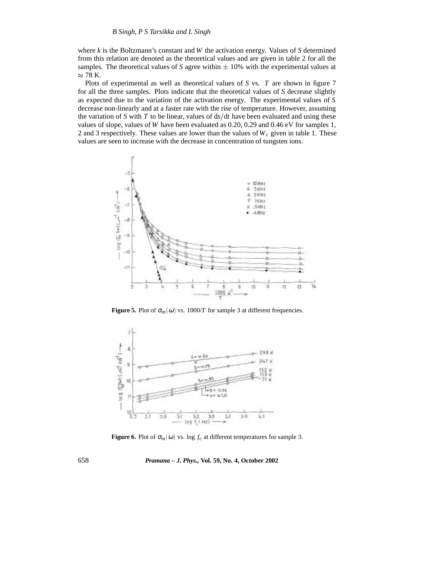where *k* is the Boltzmann's constant and *W* the activation energy. Values of *S* determined from this relation are denoted as the theoretical values and are given in table 2 for all the samples. The theoretical values of *S* agree within  $\pm$  10% with the experimental values at  $\approx$  78 K.

Plots of experimental as well as theoretical values of *S* vs. *T* are shown in figure 7 for all the three samples. Plots indicate that the theoretical values of *S* decrease slightly as expected due to the variation of the activation energy. The experimental values of *S* decrease non-linearly and at a faster rate with the rise of temperature. However, assuming the variation of *S* with *T* to be linear, values of  $ds/dt$  have been evaluated and using these values of slope, values of *W* have been evaluated as 0.20, 0.29 and 0.46 eV for samples 1, 2 and 3 respectively. These values are lower than the values of  $W_c$  given in table 1. These values are seen to increase with the decrease in concentration of tungsten ions.



**Figure 5.** Plot of  $\sigma_m(\omega)$  vs. 1000/*T* for sample 3 at different frequencies.



**Figure 6.** Plot of  $\sigma_m(\omega)$  vs. log  $f_c$  at different temperatures for sample 3.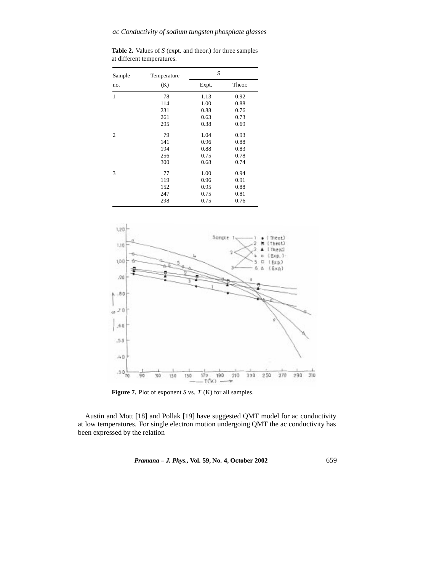**Table 2.** Values of *S* (expt. and theor.) for three samples at different temperatures.

| Sample         | Temperature | S     |        |  |
|----------------|-------------|-------|--------|--|
| no.            | (K)         | Expt. | Theor. |  |
| $\mathbf{1}$   | 78          | 1.13  | 0.92   |  |
|                | 114         | 1.00  | 0.88   |  |
|                | 231         | 0.88  | 0.76   |  |
|                | 261         | 0.63  | 0.73   |  |
|                | 295         | 0.38  | 0.69   |  |
| $\overline{2}$ | 79          | 1.04  | 0.93   |  |
|                | 141         | 0.96  | 0.88   |  |
|                | 194         | 0.88  | 0.83   |  |
|                | 256         | 0.75  | 0.78   |  |
|                | 300         | 0.68  | 0.74   |  |
| 3              | 77          | 1.00  | 0.94   |  |
|                | 119         | 0.96  | 0.91   |  |
|                | 152         | 0.95  | 0.88   |  |
|                | 247         | 0.75  | 0.81   |  |
|                | 298         | 0.75  | 0.76   |  |



**Figure 7.** Plot of exponent *S* vs. *T* (K) for all samples.

Austin and Mott [18] and Pollak [19] have suggested QMT model for ac conductivity at low temperatures. For single electron motion undergoing QMT the ac conductivity has been expressed by the relation

*Pramana – J. Phys.,* **Vol. 59, No. 4, October 2002** 659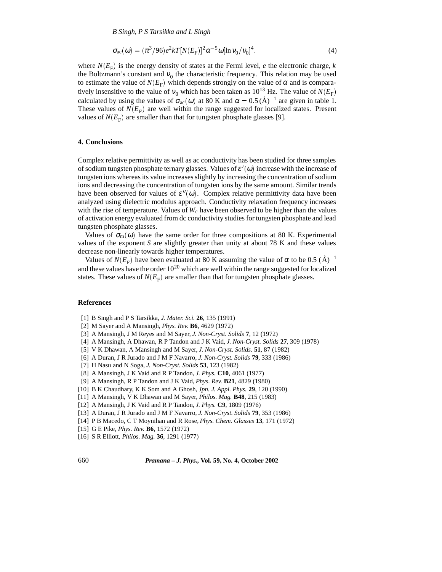*B Singh, P S Tarsikka and L Singh*

$$
\sigma_{ac}(\omega) = (\pi^3/96)e^2 kT [N(E_F)]^2 \alpha^{-5} \omega [\ln v_0/v_0]^4,
$$
\n(4)

where  $N(E<sub>F</sub>)$  is the energy density of states at the Fermi level, *e* the electronic charge, *k* the Boltzmann's constant and  $v_0$  the characteristic frequency. This relation may be used to estimate the value of  $N(E_F)$  which depends strongly on the value of  $\alpha$  and is comparatively insensitive to the value of  $v_0$  which has been taken as 10<sup>13</sup> Hz. The value of  $N(E_F)$ calculated by using the values of  $\sigma_{ac}(\omega)$  at 80 K and  $\alpha = 0.5 (\text{Å})^{-1}$  are given in table 1. These values of  $N(E_F)$  are well within the range suggested for localized states. Present values of  $N(E_F)$  are smaller than that for tungsten phosphate glasses [9].

# **4. Conclusions**

Complex relative permittivity as well as ac conductivity has been studied for three samples of sodium tungsten phosphate ternary glasses. Values of  $\varepsilon'(\omega)$  increase with the increase of tungsten ions whereas its value increases slightly by increasing the concentration of sodium ions and decreasing the concentration of tungsten ions by the same amount. Similar trends have been observed for values of  $\varepsilon''(\omega)$ . Complex relative permittivity data have been analyzed using dielectric modulus approach. Conductivity relaxation frequency increases with the rise of temperature. Values of  $W_c$  have been observed to be higher than the values of activation energy evaluated from dc conductivity studies for tungsten phosphate and lead tungsten phosphate glasses.

Values of  $\sigma_m(\omega)$  have the same order for three compositions at 80 K. Experimental values of the exponent *S* are slightly greater than unity at about 78 K and these values decrease non-linearly towards higher temperatures.

Values of  $N(E_F)$  have been evaluated at 80 K assuming the value of  $\alpha$  to be 0.5 (Å)<sup>-1</sup> and these values have the order  $10^{20}$  which are well within the range suggested for localized states. These values of  $N(E_F)$  are smaller than that for tungsten phosphate glasses.

#### **References**

- [1] B Singh and P S Tarsikka, *J. Mater. Sci.* **26**, 135 (1991)
- [2] M Sayer and A Mansingh, *Phys. Rev.* **B6**, 4629 (1972)
- [3] A Mansingh, J M Reyes and M Sayer, *J. Non-Cryst. Solids* **7**, 12 (1972)
- [4] A Mansingh, A Dhawan, R P Tandon and J K Vaid, *J. Non-Cryst. Solids* **27**, 309 (1978)
- [5] V K Dhawan, A Mansingh and M Sayer, *J. Non-Cryst. Solids.* **51**, 87 (1982)
- [6] A Duran, J R Jurado and J M F Navarro, *J. Non-Cryst. Solids* **79**, 333 (1986)
- [7] H Nasu and N Soga, *J. Non-Cryst. Solids* **53**, 123 (1982)
- [8] A Mansingh, J K Vaid and R P Tandon, *J. Phys.* **C10**, 4061 (1977)
- [9] A Mansingh, R P Tandon and J K Vaid, *Phys. Rev.* **B21**, 4829 (1980)
- [10] B K Chaudhary, K K Som and A Ghosh, *Jpn. J. Appl. Phys.* **29**, 120 (1990)
- [11] A Mansingh, V K Dhawan and M Sayer, *Philos. Mag.* **B48**, 215 (1983)
- [12] A Mansingh, J K Vaid and R P Tandon, *J. Phys.* **C9**, 1809 (1976)
- [13] A Duran, J R Jurado and J M F Navarro, *J. Non-Cryst. Solids* **79**, 353 (1986)
- [14] P B Macedo, C T Moynihan and R Rose, *Phys. Chem. Glasses* **13**, 171 (1972)
- [15] G E Pike, *Phys. Rev.* **B6**, 1572 (1972)
- [16] S R Elliott, *Philos. Mag.* **36**, 1291 (1977)